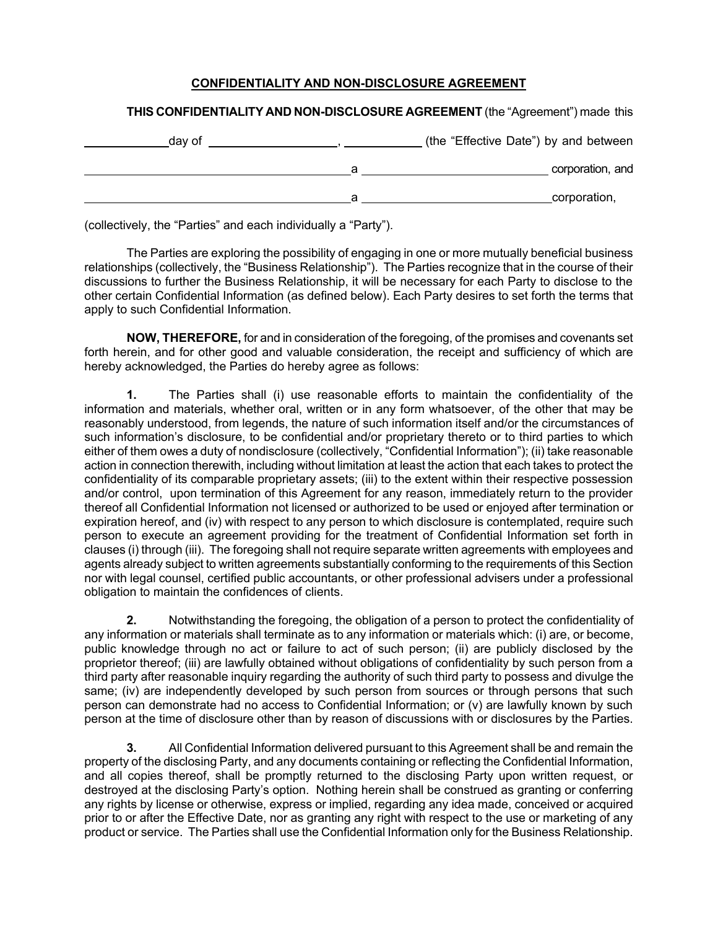## **CONFIDENTIALITY AND NON-DISCLOSURE AGREEMENT**

## **THIS CONFIDENTIALITY AND NON-DISCLOSURE AGREEMENT** (the "Agreement") made this

| (the "Effective Date") by and between | day of |
|---------------------------------------|--------|
| corporation, and                      |        |
| corporation,                          |        |

(collectively, the "Parties" and each individually a "Party").

The Parties are exploring the possibility of engaging in one or more mutually beneficial business relationships (collectively, the "Business Relationship"). The Parties recognize that in the course of their discussions to further the Business Relationship, it will be necessary for each Party to disclose to the other certain Confidential Information (as defined below). Each Party desires to set forth the terms that apply to such Confidential Information.

**NOW, THEREFORE,** for and in consideration of the foregoing, of the promises and covenants set forth herein, and for other good and valuable consideration, the receipt and sufficiency of which are hereby acknowledged, the Parties do hereby agree as follows:

**1.** The Parties shall (i) use reasonable efforts to maintain the confidentiality of the information and materials, whether oral, written or in any form whatsoever, of the other that may be reasonably understood, from legends, the nature of such information itself and/or the circumstances of such information's disclosure, to be confidential and/or proprietary thereto or to third parties to which either of them owes a duty of nondisclosure (collectively, "Confidential Information"); (ii) take reasonable action in connection therewith, including without limitation at least the action that each takes to protect the confidentiality of its comparable proprietary assets; (iii) to the extent within their respective possession and/or control, upon termination of this Agreement for any reason, immediately return to the provider thereof all Confidential Information not licensed or authorized to be used or enjoyed after termination or expiration hereof, and (iv) with respect to any person to which disclosure is contemplated, require such person to execute an agreement providing for the treatment of Confidential Information set forth in clauses (i) through (iii). The foregoing shall not require separate written agreements with employees and agents already subject to written agreements substantially conforming to the requirements of this Section nor with legal counsel, certified public accountants, or other professional advisers under a professional obligation to maintain the confidences of clients.

**2.** Notwithstanding the foregoing, the obligation of a person to protect the confidentiality of any information or materials shall terminate as to any information or materials which: (i) are, or become, public knowledge through no act or failure to act of such person; (ii) are publicly disclosed by the proprietor thereof; (iii) are lawfully obtained without obligations of confidentiality by such person from a third party after reasonable inquiry regarding the authority of such third party to possess and divulge the same; (iv) are independently developed by such person from sources or through persons that such person can demonstrate had no access to Confidential Information; or (v) are lawfully known by such person at the time of disclosure other than by reason of discussions with or disclosures by the Parties.

**3.** All Confidential Information delivered pursuant to this Agreement shall be and remain the property of the disclosing Party, and any documents containing or reflecting the Confidential Information, and all copies thereof, shall be promptly returned to the disclosing Party upon written request, or destroyed at the disclosing Party's option. Nothing herein shall be construed as granting or conferring any rights by license or otherwise, express or implied, regarding any idea made, conceived or acquired prior to or after the Effective Date, nor as granting any right with respect to the use or marketing of any product or service. The Parties shall use the Confidential Information only for the Business Relationship.